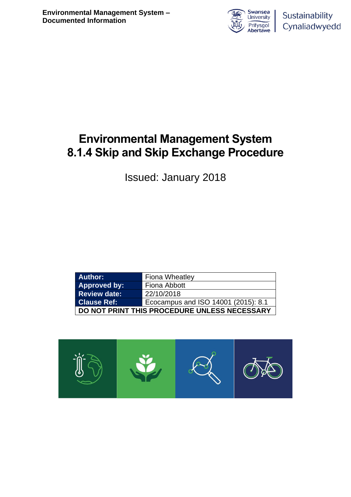

## **Environmental Management System 8.1.4 Skip and Skip Exchange Procedure**

Issued: January 2018

| <b>Author:</b>                               | <b>Fiona Wheatley</b>               |  |  |  |
|----------------------------------------------|-------------------------------------|--|--|--|
| Approved by:                                 | Fiona Abbott                        |  |  |  |
| <b>Review date:</b>                          | 22/10/2018                          |  |  |  |
| <b>Clause Ref:</b>                           | Ecocampus and ISO 14001 (2015): 8.1 |  |  |  |
| DO NOT PRINT THIS PROCEDURE UNLESS NECESSARY |                                     |  |  |  |

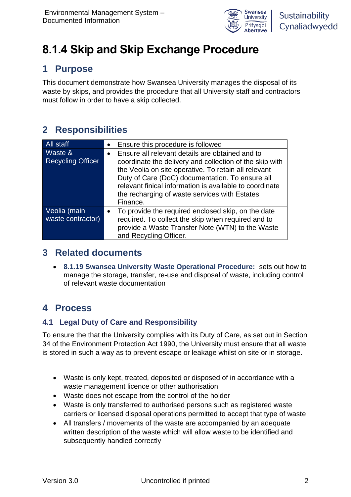

# **8.1.4 Skip and Skip Exchange Procedure**

### **1 Purpose**

This document demonstrate how Swansea University manages the disposal of its waste by skips, and provides the procedure that all University staff and contractors must follow in order to have a skip collected.

## **2 Responsibilities**

| <b>All staff</b>                    | Ensure this procedure is followed                                                                                                                                                                                                                                                                                                             |  |  |
|-------------------------------------|-----------------------------------------------------------------------------------------------------------------------------------------------------------------------------------------------------------------------------------------------------------------------------------------------------------------------------------------------|--|--|
| Waste &<br><b>Recycling Officer</b> | Ensure all relevant details are obtained and to<br>coordinate the delivery and collection of the skip with<br>the Veolia on site operative. To retain all relevant<br>Duty of Care (DoC) documentation. To ensure all<br>relevant finical information is available to coordinate<br>the recharging of waste services with Estates<br>Finance. |  |  |
| Veolia (main<br>waste contractor)   | To provide the required enclosed skip, on the date<br>required. To collect the skip when required and to<br>provide a Waste Transfer Note (WTN) to the Waste<br>and Recycling Officer.                                                                                                                                                        |  |  |

### **3 Related documents**

• **8.1.19 Swansea University Waste Operational Procedure:** sets out how to manage the storage, transfer, re-use and disposal of waste, including control of relevant waste documentation

### **4 Process**

#### **4.1 Legal Duty of Care and Responsibility**

To ensure the that the University complies with its Duty of Care, as set out in Section 34 of the Environment Protection Act 1990, the University must ensure that all waste is stored in such a way as to prevent escape or leakage whilst on site or in storage.

- Waste is only kept, treated, deposited or disposed of in accordance with a waste management licence or other authorisation
- Waste does not escape from the control of the holder
- Waste is only transferred to authorised persons such as registered waste carriers or licensed disposal operations permitted to accept that type of waste
- All transfers / movements of the waste are accompanied by an adequate written description of the waste which will allow waste to be identified and subsequently handled correctly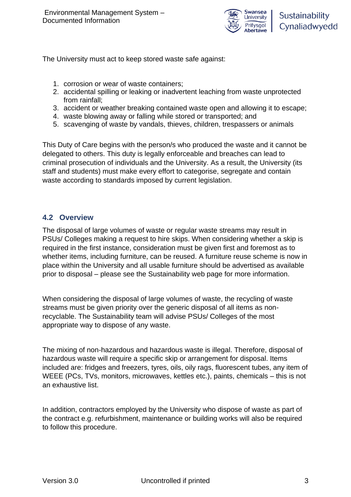

The University must act to keep stored waste safe against:

- 1. corrosion or wear of waste containers;
- 2. accidental spilling or leaking or inadvertent leaching from waste unprotected from rainfall;
- 3. accident or weather breaking contained waste open and allowing it to escape;
- 4. waste blowing away or falling while stored or transported; and
- 5. scavenging of waste by vandals, thieves, children, trespassers or animals

This Duty of Care begins with the person/s who produced the waste and it cannot be delegated to others. This duty is legally enforceable and breaches can lead to criminal prosecution of individuals and the University. As a result, the University (its staff and students) must make every effort to categorise, segregate and contain waste according to standards imposed by current legislation.

#### **4.2 Overview**

The disposal of large volumes of waste or regular waste streams may result in PSUs/ Colleges making a request to hire skips. When considering whether a skip is required in the first instance, consideration must be given first and foremost as to whether items, including furniture, can be reused. A furniture reuse scheme is now in place within the University and all usable furniture should be advertised as available prior to disposal – please see the Sustainability web page for more information.

When considering the disposal of large volumes of waste, the recycling of waste streams must be given priority over the generic disposal of all items as nonrecyclable. The Sustainability team will advise PSUs/ Colleges of the most appropriate way to dispose of any waste.

The mixing of non-hazardous and hazardous waste is illegal. Therefore, disposal of hazardous waste will require a specific skip or arrangement for disposal. Items included are: fridges and freezers, tyres, oils, oily rags, fluorescent tubes, any item of WEEE (PCs, TVs, monitors, microwaves, kettles etc.), paints, chemicals – this is not an exhaustive list.

In addition, contractors employed by the University who dispose of waste as part of the contract e.g. refurbishment, maintenance or building works will also be required to follow this procedure.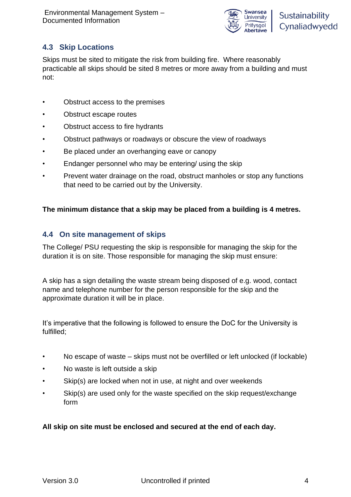

#### **4.3 Skip Locations**

Skips must be sited to mitigate the risk from building fire. Where reasonably practicable all skips should be sited 8 metres or more away from a building and must not:

- Obstruct access to the premises
- Obstruct escape routes
- Obstruct access to fire hydrants
- Obstruct pathways or roadways or obscure the view of roadways
- Be placed under an overhanging eave or canopy
- Endanger personnel who may be entering/ using the skip
- Prevent water drainage on the road, obstruct manholes or stop any functions that need to be carried out by the University.

#### **The minimum distance that a skip may be placed from a building is 4 metres.**

#### **4.4 On site management of skips**

The College/ PSU requesting the skip is responsible for managing the skip for the duration it is on site. Those responsible for managing the skip must ensure:

A skip has a sign detailing the waste stream being disposed of e.g. wood, contact name and telephone number for the person responsible for the skip and the approximate duration it will be in place.

It's imperative that the following is followed to ensure the DoC for the University is fulfilled;

- No escape of waste skips must not be overfilled or left unlocked (if lockable)
- No waste is left outside a skip
- Skip(s) are locked when not in use, at night and over weekends
- Skip(s) are used only for the waste specified on the skip request/exchange form

#### **All skip on site must be enclosed and secured at the end of each day.**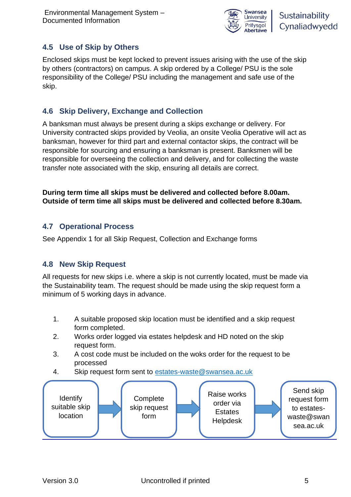

#### **4.5 Use of Skip by Others**

Enclosed skips must be kept locked to prevent issues arising with the use of the skip by others (contractors) on campus. A skip ordered by a College/ PSU is the sole responsibility of the College/ PSU including the management and safe use of the skip.

#### **4.6 Skip Delivery, Exchange and Collection**

A banksman must always be present during a skips exchange or delivery. For University contracted skips provided by Veolia, an onsite Veolia Operative will act as banksman, however for third part and external contactor skips, the contract will be responsible for sourcing and ensuring a banksman is present. Banksmen will be responsible for overseeing the collection and delivery, and for collecting the waste transfer note associated with the skip, ensuring all details are correct.

**During term time all skips must be delivered and collected before 8.00am. Outside of term time all skips must be delivered and collected before 8.30am.**

#### **4.7 Operational Process**

See Appendix 1 for all Skip Request, Collection and Exchange forms

#### **4.8 New Skip Request**

All requests for new skips i.e. where a skip is not currently located, must be made via the Sustainability team. The request should be made using the skip request form a minimum of 5 working days in advance.

- 1. A suitable proposed skip location must be identified and a skip request form completed.
- 2. Works order logged via estates helpdesk and HD noted on the skip request form.
- 3. A cost code must be included on the woks order for the request to be processed
- 4. Skip request form sent to [estates-waste@swansea.ac.uk](mailto:estates-waste@swansea.ac.uk)

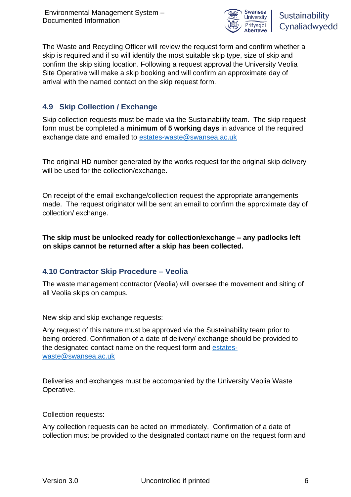

The Waste and Recycling Officer will review the request form and confirm whether a skip is required and if so will identify the most suitable skip type, size of skip and confirm the skip siting location. Following a request approval the University Veolia Site Operative will make a skip booking and will confirm an approximate day of arrival with the named contact on the skip request form.

#### **4.9 Skip Collection / Exchange**

Skip collection requests must be made via the Sustainability team. The skip request form must be completed a **minimum of 5 working days** in advance of the required exchange date and emailed to [estates-waste@swansea.ac.uk](mailto:estates-waste@swansea.ac.uk)

The original HD number generated by the works request for the original skip delivery will be used for the collection/exchange.

On receipt of the email exchange/collection request the appropriate arrangements made. The request originator will be sent an email to confirm the approximate day of collection/ exchange.

**The skip must be unlocked ready for collection/exchange – any padlocks left on skips cannot be returned after a skip has been collected.**

#### **4.10 Contractor Skip Procedure – Veolia**

The waste management contractor (Veolia) will oversee the movement and siting of all Veolia skips on campus.

New skip and skip exchange requests:

Any request of this nature must be approved via the Sustainability team prior to being ordered. Confirmation of a date of delivery/ exchange should be provided to the designated contact name on the request form and [estates](mailto:estates-waste@swansea.ac.uk)[waste@swansea.ac.uk](mailto:estates-waste@swansea.ac.uk)

Deliveries and exchanges must be accompanied by the University Veolia Waste Operative.

Collection requests:

Any collection requests can be acted on immediately. Confirmation of a date of collection must be provided to the designated contact name on the request form and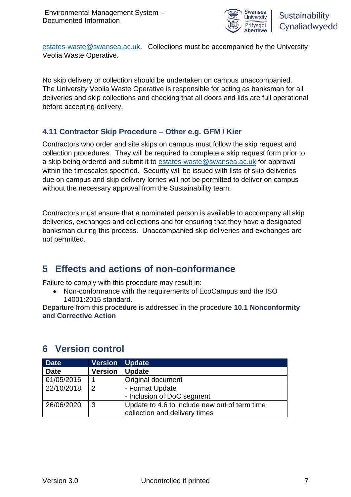

[estates-waste@swansea.ac.uk.](mailto:estates-waste@swansea.ac.uk) Collections must be accompanied by the University Veolia Waste Operative.

No skip delivery or collection should be undertaken on campus unaccompanied. The University Veolia Waste Operative is responsible for acting as banksman for all deliveries and skip collections and checking that all doors and lids are full operational before accepting delivery.

#### **4.11 Contractor Skip Procedure – Other e.g. GFM / Kier**

Contractors who order and site skips on campus must follow the skip request and collection procedures. They will be required to complete a skip request form prior to a skip being ordered and submit it to [estates-waste@swansea.ac.uk](mailto:estates-waste@swansea.ac.uk) for approval within the timescales specified. Security will be issued with lists of skip deliveries due on campus and skip delivery lorries will not be permitted to deliver on campus without the necessary approval from the Sustainability team.

Contractors must ensure that a nominated person is available to accompany all skip deliveries, exchanges and collections and for ensuring that they have a designated banksman during this process. Unaccompanied skip deliveries and exchanges are not permitted.

### **5 Effects and actions of non-conformance**

Failure to comply with this procedure may result in:

• Non-conformance with the requirements of EcoCampus and the ISO 14001:2015 standard.

Departure from this procedure is addressed in the procedure **10.1 Nonconformity and Corrective Action**

| <b>Date</b> | <b>Version</b> | <b>Update</b>                                 |  |  |
|-------------|----------------|-----------------------------------------------|--|--|
| <b>Date</b> | <b>Version</b> | <b>Update</b>                                 |  |  |
| 01/05/2016  |                | Original document                             |  |  |
| 22/10/2018  | 2              | - Format Update                               |  |  |
|             |                | - Inclusion of DoC segment                    |  |  |
| 26/06/2020  | 3              | Update to 4.6 to include new out of term time |  |  |
|             |                | collection and delivery times                 |  |  |

#### **6 Version control**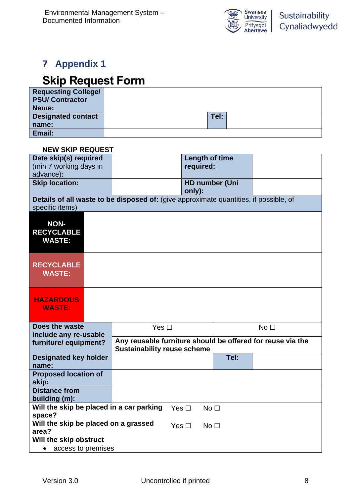

## **7 Appendix 1**

## **Skip Request Form**

| <b>Requesting College/</b><br><b>PSU/ Contractor</b><br>Name: |      |  |
|---------------------------------------------------------------|------|--|
| <b>Designated contact</b>                                     | Tel: |  |
| name:                                                         |      |  |
| Email:                                                        |      |  |

#### **NEW SKIP REQUEST**

| Date skip(s) required<br>(min 7 working days in<br>advance):            |                                                                                                  | Length of time<br>required:     |                 |  |  |  |
|-------------------------------------------------------------------------|--------------------------------------------------------------------------------------------------|---------------------------------|-----------------|--|--|--|
| <b>Skip location:</b>                                                   |                                                                                                  | <b>HD number (Uni</b><br>only): |                 |  |  |  |
| specific items)                                                         | Details of all waste to be disposed of: (give approximate quantities, if possible, of            |                                 |                 |  |  |  |
| <b>NON-</b><br><b>RECYCLABLE</b><br><b>WASTE:</b>                       |                                                                                                  |                                 |                 |  |  |  |
| <b>RECYCLABLE</b><br><b>WASTE:</b>                                      |                                                                                                  |                                 |                 |  |  |  |
| <b>HAZARDOUS</b><br><b>WASTE:</b>                                       |                                                                                                  |                                 |                 |  |  |  |
| Does the waste                                                          | Yes $\square$                                                                                    |                                 | No <sub>1</sub> |  |  |  |
| include any re-usable<br>furniture/equipment?                           | Any reusable furniture should be offered for reuse via the<br><b>Sustainability reuse scheme</b> |                                 |                 |  |  |  |
| <b>Designated key holder</b><br>name:                                   |                                                                                                  | Tel:                            |                 |  |  |  |
| <b>Proposed location of</b><br>skip:                                    |                                                                                                  |                                 |                 |  |  |  |
| <b>Distance from</b><br>building (m):                                   |                                                                                                  |                                 |                 |  |  |  |
| Will the skip be placed in a car parking<br>space?                      | Yes $\Box$                                                                                       | No <sub>1</sub>                 |                 |  |  |  |
| Will the skip be placed on a grassed<br>area?<br>Will the skip obstruct | Yes $\square$                                                                                    | No <sub>1</sub>                 |                 |  |  |  |
| access to premises<br>$\bullet$                                         |                                                                                                  |                                 |                 |  |  |  |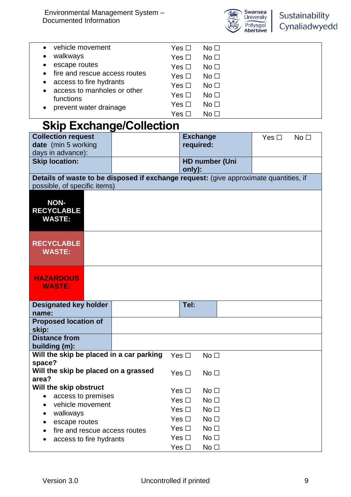

|           | .                                                      | ⊿ ■        |                 |  |
|-----------|--------------------------------------------------------|------------|-----------------|--|
|           |                                                        | Yes $\Box$ | No <sub>1</sub> |  |
|           | prevent water drainage                                 | Yes $\Box$ | No <sub>1</sub> |  |
|           | functions                                              | Yes $\Box$ | No <sub>1</sub> |  |
| $\bullet$ | access to fire hydrants<br>access to manholes or other | Yes $\Box$ | No <sub>1</sub> |  |
|           | fire and rescue access routes                          | Yes $\Box$ | No <sub>1</sub> |  |
|           | escape routes                                          | Yes $\Box$ | No <sub>1</sub> |  |
| ٠         | walkways                                               | Yes $\Box$ | No <sub>1</sub> |  |
|           | vehicle movement                                       | Yes □      | No <sub>1</sub> |  |
|           |                                                        |            |                 |  |

## **Skip Exchange/Collection**

| <b>Collection request</b>                                                             | <b>Exchange</b>                  | Yes $\Box$ | No <sub>1</sub> |
|---------------------------------------------------------------------------------------|----------------------------------|------------|-----------------|
| date (min 5 working                                                                   | required:                        |            |                 |
| days in advance):                                                                     |                                  |            |                 |
| <b>Skip location:</b>                                                                 | <b>HD number (Uni</b><br>only):  |            |                 |
| Details of waste to be disposed if exchange request: (give approximate quantities, if |                                  |            |                 |
| possible, of specific items)                                                          |                                  |            |                 |
| <b>NON-</b>                                                                           |                                  |            |                 |
| <b>RECYCLABLE</b>                                                                     |                                  |            |                 |
| <b>WASTE:</b>                                                                         |                                  |            |                 |
|                                                                                       |                                  |            |                 |
| <b>RECYCLABLE</b>                                                                     |                                  |            |                 |
| <b>WASTE:</b>                                                                         |                                  |            |                 |
|                                                                                       |                                  |            |                 |
|                                                                                       |                                  |            |                 |
| <b>HAZARDOUS</b>                                                                      |                                  |            |                 |
| <b>WASTE:</b>                                                                         |                                  |            |                 |
|                                                                                       |                                  |            |                 |
| <b>Designated key holder</b><br>name:                                                 | Tel:                             |            |                 |
| <b>Proposed location of</b>                                                           |                                  |            |                 |
| skip:                                                                                 |                                  |            |                 |
| <b>Distance from</b>                                                                  |                                  |            |                 |
| building (m):                                                                         |                                  |            |                 |
| Will the skip be placed in a car parking<br>space?                                    | Yes $\Box$<br>No <sub>1</sub>    |            |                 |
| Will the skip be placed on a grassed                                                  | Yes $\Box$<br>No <sub>1</sub>    |            |                 |
| area?                                                                                 |                                  |            |                 |
| Will the skip obstruct                                                                | Yes $\Box$<br>No <sub>1</sub>    |            |                 |
| access to premises                                                                    | Yes $\Box$<br>No <sub>1</sub>    |            |                 |
| vehicle movement<br>walkways                                                          | Yes $\square$<br>No <sub>1</sub> |            |                 |
| escape routes                                                                         | Yes $\square$<br>No <sub>1</sub> |            |                 |
| fire and rescue access routes                                                         | No <sub>1</sub><br>Yes $\Box$    |            |                 |
| access to fire hydrants                                                               | Yes $\square$<br>No <sub>1</sub> |            |                 |
|                                                                                       | Yes $\square$<br>No <sub>1</sub> |            |                 |